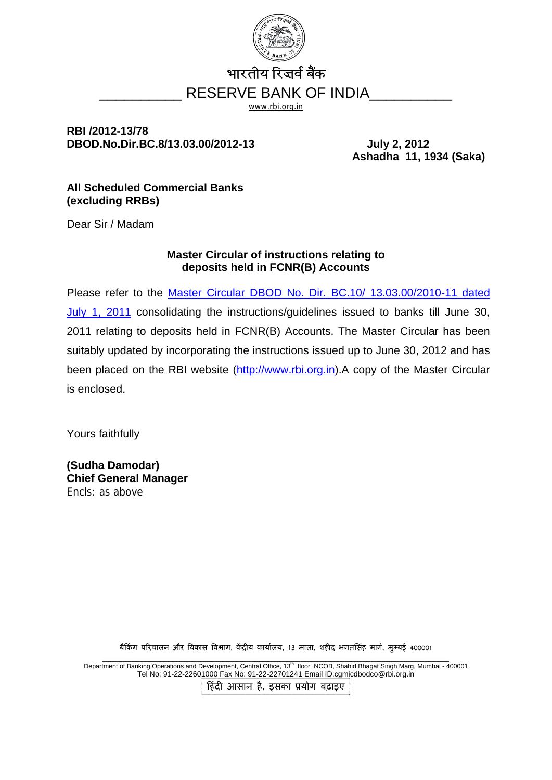

# भारतीय रिजर्व बैंक RESERVE BANK OF INDIA

www.rbi.org.in

# **RBI /2012-13/78 DBOD.No.Dir.BC.8/13.03.00/2012-13 July 2, 2012**

**Ashadha 11, 1934 (Saka)** 

### **All Scheduled Commercial Banks (excluding RRBs)**

Dear Sir / Madam

### **Master Circular of instructions relating to deposits held in FCNR(B) Accounts**

Please refer to the [Master Circular DBOD No. Dir. BC.10/ 13.03.00/2010-11 dated](http://rbi.org.in/scripts/BS_ViewMasCirculardetails.aspx?Id=6509&Mode=0)  [July 1, 2011](http://rbi.org.in/scripts/BS_ViewMasCirculardetails.aspx?Id=6509&Mode=0) consolidating the instructions/guidelines issued to banks till June 30, 2011 relating to deposits held in FCNR(B) Accounts. The Master Circular has been suitably updated by incorporating the instructions issued up to June 30, 2012 and has been placed on the RBI website [\(http://www.rbi.org.in](http://www.rbi.org.in/)).A copy of the Master Circular is enclosed.

Yours faithfully

**(Sudha Damodar) Chief General Manager**  Encls: as above

बैकिंग परिचालन और विकास विभाग, केंदीय कार्यालय, 13 माला, शहीद भगतसिंह मार्ग, मम्बई 400001

Department of Banking Operations and Development, Central Office, 13<sup>th</sup> floor ,NCOB, Shahid Bhagat Singh Marg, Mumbai - 400001 Tel No: 91-22-22601000 Fax No: 91-22-22701241 Email ID:cgmicdbodco@rbi.org.in िहंदी आसान है, इसका ूयोग बढ़ाइए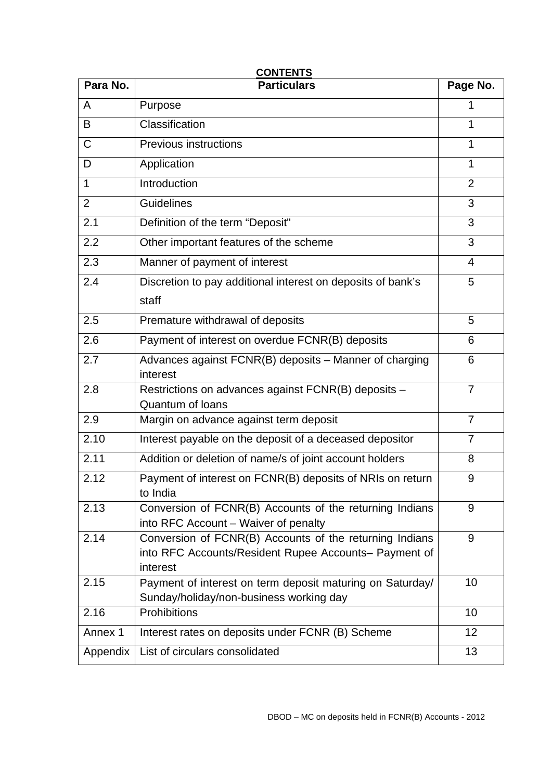| <b>CONTENTS</b> |                                                                                                                              |                |  |  |
|-----------------|------------------------------------------------------------------------------------------------------------------------------|----------------|--|--|
| Para No.        | <b>Particulars</b>                                                                                                           | Page No.       |  |  |
| A               | Purpose                                                                                                                      |                |  |  |
| B               | Classification                                                                                                               | 1              |  |  |
| $\mathsf C$     | <b>Previous instructions</b>                                                                                                 | 1              |  |  |
| D               | Application                                                                                                                  | 1              |  |  |
| 1               | Introduction                                                                                                                 | $\overline{2}$ |  |  |
| $\overline{2}$  | <b>Guidelines</b>                                                                                                            | 3              |  |  |
| 2.1             | Definition of the term "Deposit"                                                                                             | 3              |  |  |
| 2.2             | Other important features of the scheme                                                                                       | 3              |  |  |
| 2.3             | Manner of payment of interest                                                                                                | $\overline{4}$ |  |  |
| 2.4             | Discretion to pay additional interest on deposits of bank's                                                                  | 5              |  |  |
|                 | staff                                                                                                                        |                |  |  |
| 2.5             | Premature withdrawal of deposits                                                                                             | 5              |  |  |
| 2.6             | Payment of interest on overdue FCNR(B) deposits                                                                              | 6              |  |  |
| 2.7             | Advances against FCNR(B) deposits - Manner of charging<br>interest                                                           |                |  |  |
| 2.8             | Restrictions on advances against FCNR(B) deposits -<br><b>Quantum of loans</b>                                               | $\overline{7}$ |  |  |
| 2.9             | Margin on advance against term deposit                                                                                       | $\overline{7}$ |  |  |
| 2.10            | Interest payable on the deposit of a deceased depositor                                                                      | $\overline{7}$ |  |  |
| 2.11            | Addition or deletion of name/s of joint account holders                                                                      | 8              |  |  |
| 2.12            | Payment of interest on FCNR(B) deposits of NRIs on return<br>to India                                                        | 9              |  |  |
| 2.13            | Conversion of FCNR(B) Accounts of the returning Indians<br>into RFC Account – Waiver of penalty                              | 9              |  |  |
| 2.14            | Conversion of FCNR(B) Accounts of the returning Indians<br>into RFC Accounts/Resident Rupee Accounts- Payment of<br>interest | 9              |  |  |
| 2.15            | Payment of interest on term deposit maturing on Saturday/<br>Sunday/holiday/non-business working day                         | 10             |  |  |
| 2.16            | Prohibitions                                                                                                                 | 10             |  |  |
| Annex 1         | Interest rates on deposits under FCNR (B) Scheme                                                                             | 12             |  |  |
| Appendix        | List of circulars consolidated                                                                                               | 13             |  |  |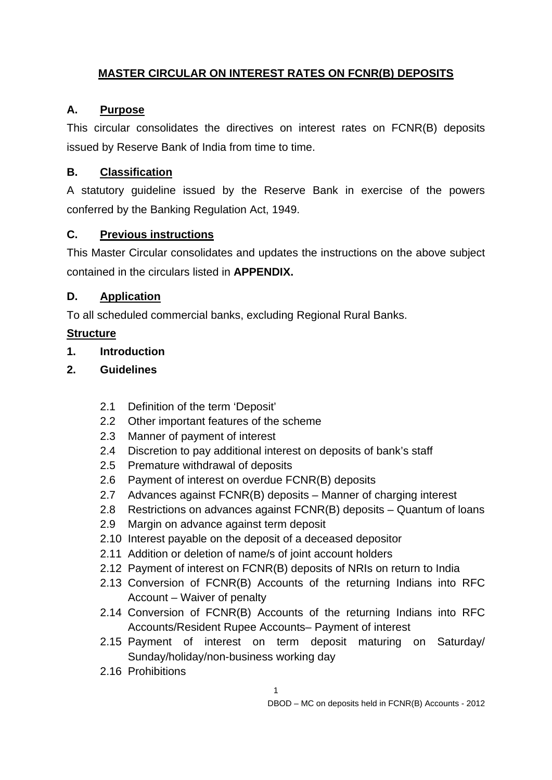# **MASTER CIRCULAR ON INTEREST RATES ON FCNR(B) DEPOSITS**

# **A. Purpose**

This circular consolidates the directives on interest rates on FCNR(B) deposits issued by Reserve Bank of India from time to time.

# **B. Classification**

A statutory guideline issued by the Reserve Bank in exercise of the powers conferred by the Banking Regulation Act, 1949.

# **C. Previous instructions**

This Master Circular consolidates and updates the instructions on the above subject contained in the circulars listed in **APPENDIX.**

# **D. Application**

To all scheduled commercial banks, excluding Regional Rural Banks.

# **Structure**

**1. Introduction** 

# **2. Guidelines**

- 2.1 Definition of the term 'Deposit'
- 2.2 Other important features of the scheme
- 2.3 Manner of payment of interest
- 2.4 Discretion to pay additional interest on deposits of bank's staff
- 2.5 Premature withdrawal of deposits
- 2.6 Payment of interest on overdue FCNR(B) deposits
- 2.7 Advances against FCNR(B) deposits Manner of charging interest
- 2.8 Restrictions on advances against FCNR(B) deposits Quantum of loans
- 2.9 Margin on advance against term deposit
- 2.10 Interest payable on the deposit of a deceased depositor
- 2.11 Addition or deletion of name/s of joint account holders
- 2.12 Payment of interest on FCNR(B) deposits of NRIs on return to India
- 2.13 Conversion of FCNR(B) Accounts of the returning Indians into RFC Account – Waiver of penalty
- 2.14 Conversion of FCNR(B) Accounts of the returning Indians into RFC Accounts/Resident Rupee Accounts– Payment of interest
- 2.15 Payment of interest on term deposit maturing on Saturday/ Sunday/holiday/non-business working day
- 2.16 Prohibitions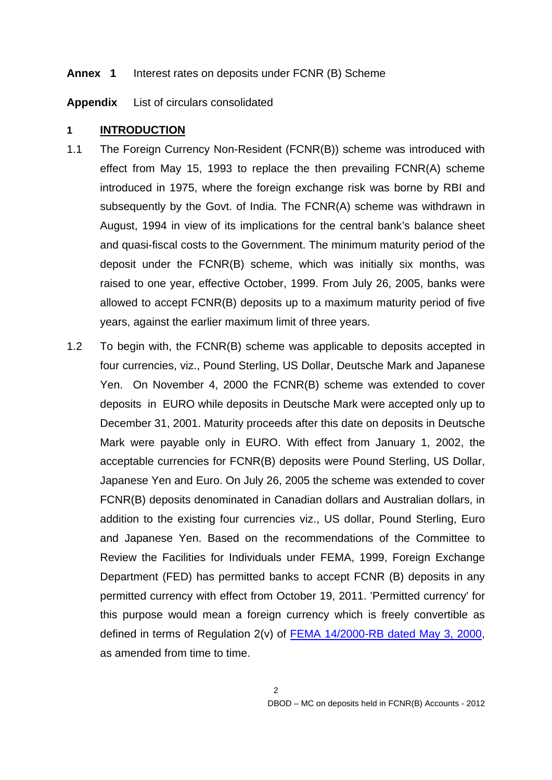#### **Annex 1** Interest rates on deposits under FCNR (B) Scheme

**Appendix** List of circulars consolidated

### **1 INTRODUCTION**

- 1.1 The Foreign Currency Non-Resident (FCNR(B)) scheme was introduced with effect from May 15, 1993 to replace the then prevailing FCNR(A) scheme introduced in 1975, where the foreign exchange risk was borne by RBI and subsequently by the Govt. of India. The FCNR(A) scheme was withdrawn in August, 1994 in view of its implications for the central bank's balance sheet and quasi-fiscal costs to the Government. The minimum maturity period of the deposit under the FCNR(B) scheme, which was initially six months, was raised to one year, effective October, 1999. From July 26, 2005, banks were allowed to accept FCNR(B) deposits up to a maximum maturity period of five years, against the earlier maximum limit of three years.
- 1.2 To begin with, the FCNR(B) scheme was applicable to deposits accepted in four currencies, viz., Pound Sterling, US Dollar, Deutsche Mark and Japanese Yen. On November 4, 2000 the FCNR(B) scheme was extended to cover deposits in EURO while deposits in Deutsche Mark were accepted only up to December 31, 2001. Maturity proceeds after this date on deposits in Deutsche Mark were payable only in EURO. With effect from January 1, 2002, the acceptable currencies for FCNR(B) deposits were Pound Sterling, US Dollar, Japanese Yen and Euro. On July 26, 2005 the scheme was extended to cover FCNR(B) deposits denominated in Canadian dollars and Australian dollars, in addition to the existing four currencies viz., US dollar, Pound Sterling, Euro and Japanese Yen. Based on the recommendations of the Committee to Review the Facilities for Individuals under FEMA, 1999, Foreign Exchange Department (FED) has permitted banks to accept FCNR (B) deposits in any permitted currency with effect from October 19, 2011. 'Permitted currency' for this purpose would mean a foreign currency which is freely convertible as defined in terms of Regulation 2(v) of [FEMA 14/2000-RB dated May 3, 2000,](http://rbi.org.in/Scripts/BS_FemaNotifications.aspx?Id=168) as amended from time to time.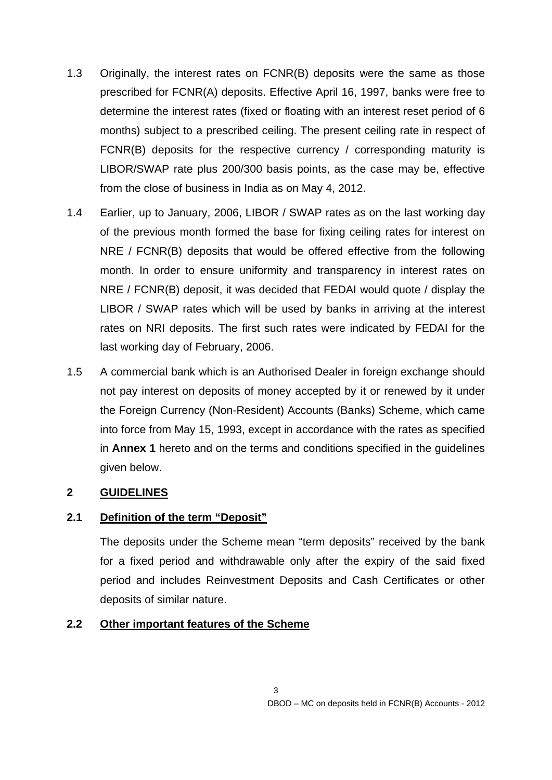- 1.3 Originally, the interest rates on FCNR(B) deposits were the same as those prescribed for FCNR(A) deposits. Effective April 16, 1997, banks were free to determine the interest rates (fixed or floating with an interest reset period of 6 months) subject to a prescribed ceiling. The present ceiling rate in respect of FCNR(B) deposits for the respective currency / corresponding maturity is LIBOR/SWAP rate plus 200/300 basis points, as the case may be, effective from the close of business in India as on May 4, 2012.
- 1.4 Earlier, up to January, 2006, LIBOR / SWAP rates as on the last working day of the previous month formed the base for fixing ceiling rates for interest on NRE / FCNR(B) deposits that would be offered effective from the following month. In order to ensure uniformity and transparency in interest rates on NRE / FCNR(B) deposit, it was decided that FEDAI would quote / display the LIBOR / SWAP rates which will be used by banks in arriving at the interest rates on NRI deposits. The first such rates were indicated by FEDAI for the last working day of February, 2006.
- 1.5 A commercial bank which is an Authorised Dealer in foreign exchange should not pay interest on deposits of money accepted by it or renewed by it under the Foreign Currency (Non-Resident) Accounts (Banks) Scheme, which came into force from May 15, 1993, except in accordance with the rates as specified in **Annex 1** hereto and on the terms and conditions specified in the guidelines given below.

# **2 GUIDELINES**

# **2.1 Definition of the term "Deposit"**

The deposits under the Scheme mean "term deposits" received by the bank for a fixed period and withdrawable only after the expiry of the said fixed period and includes Reinvestment Deposits and Cash Certificates or other deposits of similar nature.

### **2.2 Other important features of the Scheme**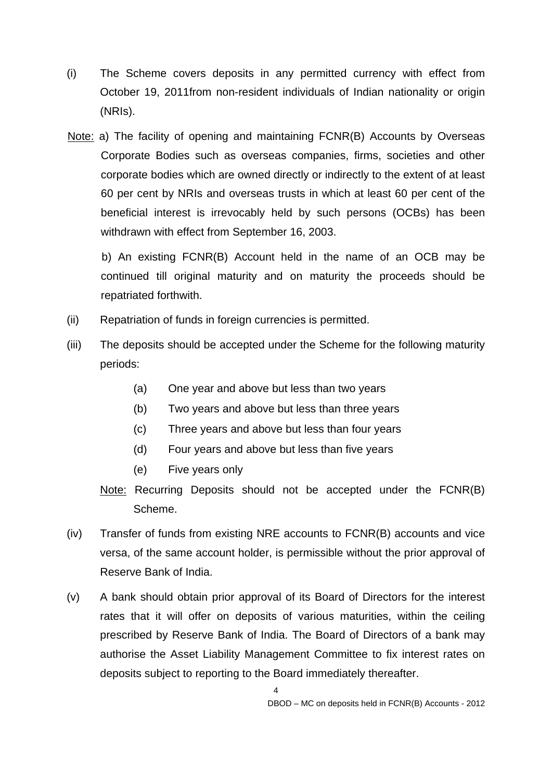- (i) The Scheme covers deposits in any permitted currency with effect from October 19, 2011from non-resident individuals of Indian nationality or origin (NRIs).
- Note: a) The facility of opening and maintaining FCNR(B) Accounts by Overseas Corporate Bodies such as overseas companies, firms, societies and other corporate bodies which are owned directly or indirectly to the extent of at least 60 per cent by NRIs and overseas trusts in which at least 60 per cent of the beneficial interest is irrevocably held by such persons (OCBs) has been withdrawn with effect from September 16, 2003.

b) An existing FCNR(B) Account held in the name of an OCB may be continued till original maturity and on maturity the proceeds should be repatriated forthwith.

- (ii) Repatriation of funds in foreign currencies is permitted.
- (iii) The deposits should be accepted under the Scheme for the following maturity periods:
	- (a) One year and above but less than two years
	- (b) Two years and above but less than three years
	- (c) Three years and above but less than four years
	- (d) Four years and above but less than five years
	- (e) Five years only
	- Note: Recurring Deposits should not be accepted under the FCNR(B) Scheme.
- (iv) Transfer of funds from existing NRE accounts to FCNR(B) accounts and vice versa, of the same account holder, is permissible without the prior approval of Reserve Bank of India.
- (v) A bank should obtain prior approval of its Board of Directors for the interest rates that it will offer on deposits of various maturities, within the ceiling prescribed by Reserve Bank of India. The Board of Directors of a bank may authorise the Asset Liability Management Committee to fix interest rates on deposits subject to reporting to the Board immediately thereafter.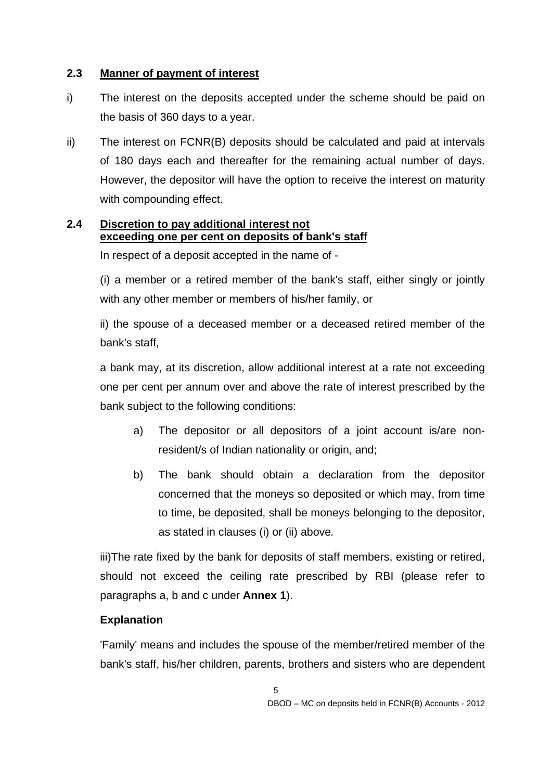# **2.3 Manner of payment of interest**

- i) The interest on the deposits accepted under the scheme should be paid on the basis of 360 days to a year.
- ii) The interest on FCNR(B) deposits should be calculated and paid at intervals of 180 days each and thereafter for the remaining actual number of days. However, the depositor will have the option to receive the interest on maturity with compounding effect.

# **2.4 Discretion to pay additional interest not exceeding one per cent on deposits of bank's staff**

In respect of a deposit accepted in the name of -

(i) a member or a retired member of the bank's staff, either singly or jointly with any other member or members of his/her family, or

ii) the spouse of a deceased member or a deceased retired member of the bank's staff,

a bank may, at its discretion, allow additional interest at a rate not exceeding one per cent per annum over and above the rate of interest prescribed by the bank subject to the following conditions:

- a) The depositor or all depositors of a joint account is/are nonresident/s of Indian nationality or origin, and;
- b) The bank should obtain a declaration from the depositor concerned that the moneys so deposited or which may, from time to time, be deposited, shall be moneys belonging to the depositor, as stated in clauses (i) or (ii) above*.*

iii)The rate fixed by the bank for deposits of staff members, existing or retired, should not exceed the ceiling rate prescribed by RBI (please refer to paragraphs a, b and c under **Annex 1**).

# **Explanation**

'Family' means and includes the spouse of the member/retired member of the bank's staff, his/her children, parents, brothers and sisters who are dependent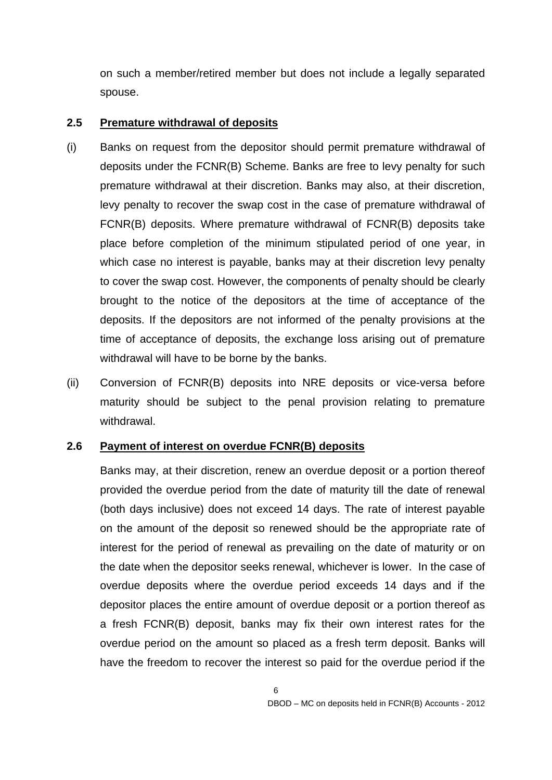on such a member/retired member but does not include a legally separated spouse.

### **2.5 Premature withdrawal of deposits**

- (i) Banks on request from the depositor should permit premature withdrawal of deposits under the FCNR(B) Scheme. Banks are free to levy penalty for such premature withdrawal at their discretion. Banks may also, at their discretion, levy penalty to recover the swap cost in the case of premature withdrawal of FCNR(B) deposits. Where premature withdrawal of FCNR(B) deposits take place before completion of the minimum stipulated period of one year, in which case no interest is payable, banks may at their discretion levy penalty to cover the swap cost. However, the components of penalty should be clearly brought to the notice of the depositors at the time of acceptance of the deposits. If the depositors are not informed of the penalty provisions at the time of acceptance of deposits, the exchange loss arising out of premature withdrawal will have to be borne by the banks.
- (ii) Conversion of FCNR(B) deposits into NRE deposits or vice-versa before maturity should be subject to the penal provision relating to premature withdrawal.

# **2.6 Payment of interest on overdue FCNR(B) deposits**

Banks may, at their discretion, renew an overdue deposit or a portion thereof provided the overdue period from the date of maturity till the date of renewal (both days inclusive) does not exceed 14 days. The rate of interest payable on the amount of the deposit so renewed should be the appropriate rate of interest for the period of renewal as prevailing on the date of maturity or on the date when the depositor seeks renewal, whichever is lower. In the case of overdue deposits where the overdue period exceeds 14 days and if the depositor places the entire amount of overdue deposit or a portion thereof as a fresh FCNR(B) deposit, banks may fix their own interest rates for the overdue period on the amount so placed as a fresh term deposit. Banks will have the freedom to recover the interest so paid for the overdue period if the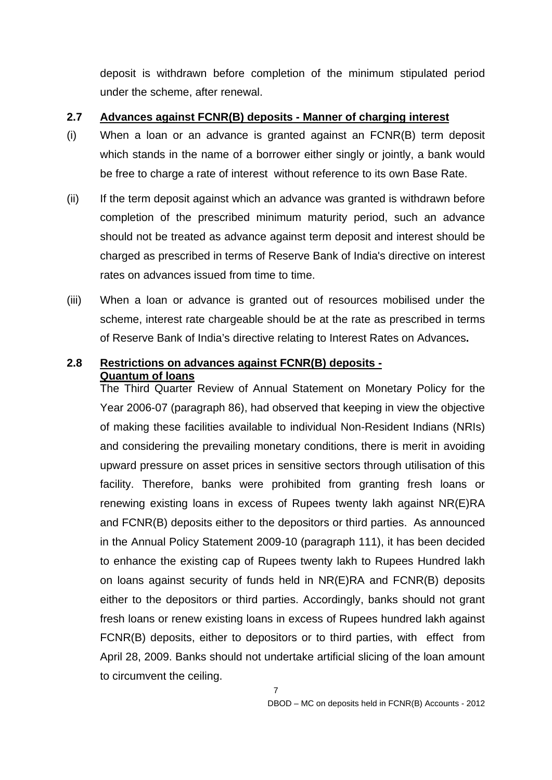deposit is withdrawn before completion of the minimum stipulated period under the scheme, after renewal.

### **2.7 Advances against FCNR(B) deposits - Manner of charging interest**

- (i) When a loan or an advance is granted against an FCNR(B) term deposit which stands in the name of a borrower either singly or jointly, a bank would be free to charge a rate of interest without reference to its own Base Rate.
- (ii) If the term deposit against which an advance was granted is withdrawn before completion of the prescribed minimum maturity period, such an advance should not be treated as advance against term deposit and interest should be charged as prescribed in terms of Reserve Bank of India's directive on interest rates on advances issued from time to time.
- (iii) When a loan or advance is granted out of resources mobilised under the scheme, interest rate chargeable should be at the rate as prescribed in terms of Reserve Bank of India's directive relating to Interest Rates on Advances**.**

# **2.8 Restrictions on advances against FCNR(B) deposits - Quantum of loans**

The Third Quarter Review of Annual Statement on Monetary Policy for the Year 2006-07 (paragraph 86), had observed that keeping in view the objective of making these facilities available to individual Non-Resident Indians (NRIs) and considering the prevailing monetary conditions, there is merit in avoiding upward pressure on asset prices in sensitive sectors through utilisation of this facility. Therefore, banks were prohibited from granting fresh loans or renewing existing loans in excess of Rupees twenty lakh against NR(E)RA and FCNR(B) deposits either to the depositors or third parties. As announced in the Annual Policy Statement 2009-10 (paragraph 111), it has been decided to enhance the existing cap of Rupees twenty lakh to Rupees Hundred lakh on loans against security of funds held in NR(E)RA and FCNR(B) deposits either to the depositors or third parties. Accordingly, banks should not grant fresh loans or renew existing loans in excess of Rupees hundred lakh against FCNR(B) deposits, either to depositors or to third parties, with effect from April 28, 2009. Banks should not undertake artificial slicing of the loan amount to circumvent the ceiling.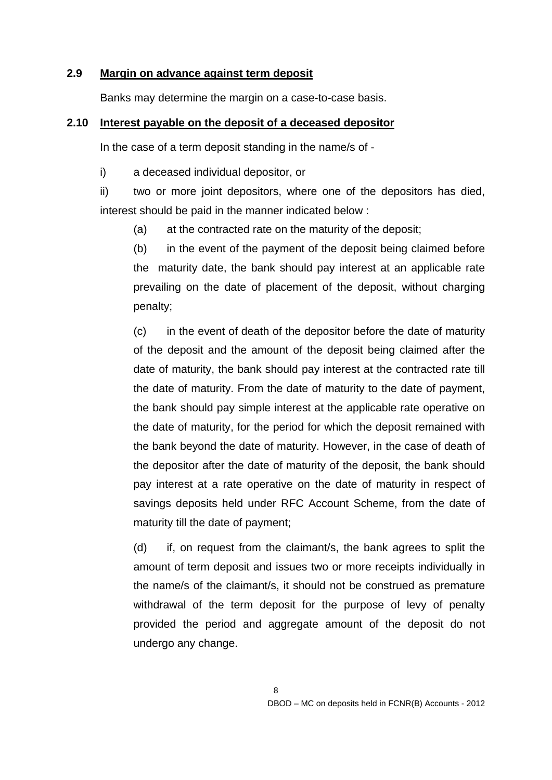### **2.9 Margin on advance against term deposit**

Banks may determine the margin on a case-to-case basis.

### **2.10 Interest payable on the deposit of a deceased depositor**

In the case of a term deposit standing in the name/s of -

i) a deceased individual depositor, or

ii) two or more joint depositors, where one of the depositors has died, interest should be paid in the manner indicated below :

(a) at the contracted rate on the maturity of the deposit;

(b) in the event of the payment of the deposit being claimed before the maturity date, the bank should pay interest at an applicable rate prevailing on the date of placement of the deposit, without charging penalty;

(c) in the event of death of the depositor before the date of maturity of the deposit and the amount of the deposit being claimed after the date of maturity, the bank should pay interest at the contracted rate till the date of maturity. From the date of maturity to the date of payment, the bank should pay simple interest at the applicable rate operative on the date of maturity, for the period for which the deposit remained with the bank beyond the date of maturity. However, in the case of death of the depositor after the date of maturity of the deposit, the bank should pay interest at a rate operative on the date of maturity in respect of savings deposits held under RFC Account Scheme, from the date of maturity till the date of payment;

(d) if, on request from the claimant/s, the bank agrees to split the amount of term deposit and issues two or more receipts individually in the name/s of the claimant/s, it should not be construed as premature withdrawal of the term deposit for the purpose of levy of penalty provided the period and aggregate amount of the deposit do not undergo any change.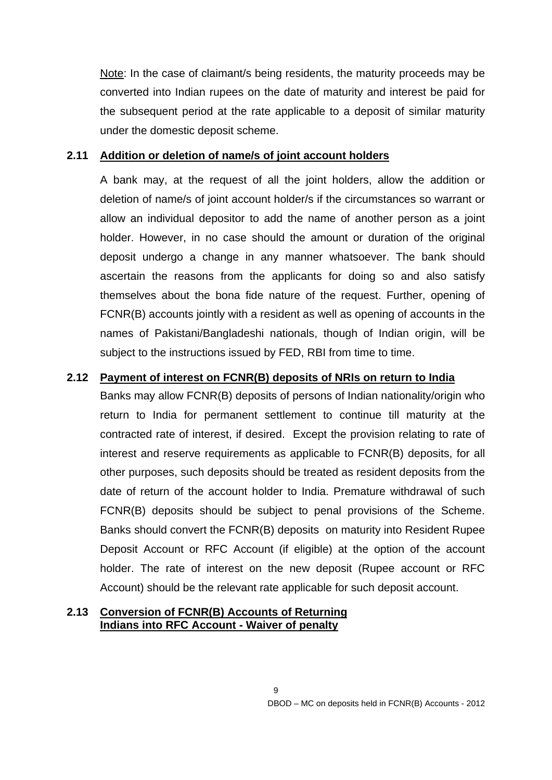Note: In the case of claimant/s being residents, the maturity proceeds may be converted into Indian rupees on the date of maturity and interest be paid for the subsequent period at the rate applicable to a deposit of similar maturity under the domestic deposit scheme.

### **2.11 Addition or deletion of name/s of joint account holders**

A bank may, at the request of all the joint holders, allow the addition or deletion of name/s of joint account holder/s if the circumstances so warrant or allow an individual depositor to add the name of another person as a joint holder. However, in no case should the amount or duration of the original deposit undergo a change in any manner whatsoever. The bank should ascertain the reasons from the applicants for doing so and also satisfy themselves about the bona fide nature of the request. Further, opening of FCNR(B) accounts jointly with a resident as well as opening of accounts in the names of Pakistani/Bangladeshi nationals, though of Indian origin, will be subject to the instructions issued by FED, RBI from time to time.

# **2.12 Payment of interest on FCNR(B) deposits of NRIs on return to India**

Banks may allow FCNR(B) deposits of persons of Indian nationality/origin who return to India for permanent settlement to continue till maturity at the contracted rate of interest, if desired. Except the provision relating to rate of interest and reserve requirements as applicable to FCNR(B) deposits, for all other purposes, such deposits should be treated as resident deposits from the date of return of the account holder to India. Premature withdrawal of such FCNR(B) deposits should be subject to penal provisions of the Scheme. Banks should convert the FCNR(B) deposits on maturity into Resident Rupee Deposit Account or RFC Account (if eligible) at the option of the account holder. The rate of interest on the new deposit (Rupee account or RFC Account) should be the relevant rate applicable for such deposit account.

### **2.13 Conversion of FCNR(B) Accounts of Returning Indians into RFC Account - Waiver of penalty**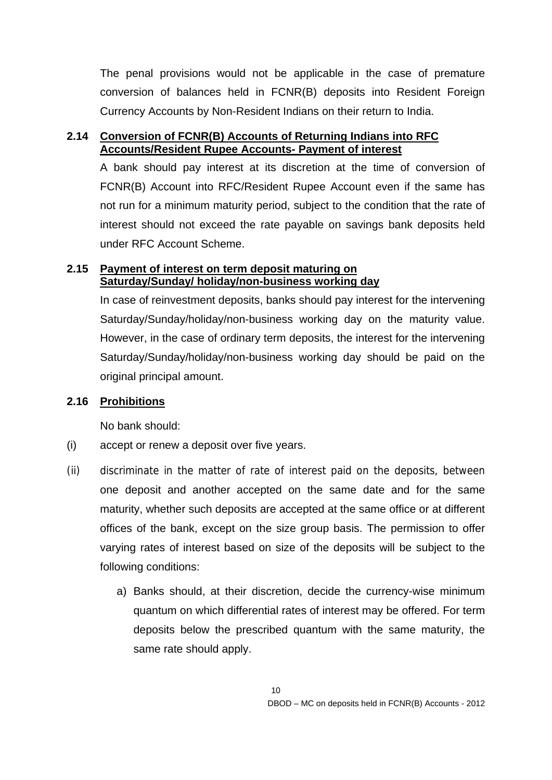The penal provisions would not be applicable in the case of premature conversion of balances held in FCNR(B) deposits into Resident Foreign Currency Accounts by Non-Resident Indians on their return to India.

# **2.14 Conversion of FCNR(B) Accounts of Returning Indians into RFC Accounts/Resident Rupee Accounts- Payment of interest**

A bank should pay interest at its discretion at the time of conversion of FCNR(B) Account into RFC/Resident Rupee Account even if the same has not run for a minimum maturity period, subject to the condition that the rate of interest should not exceed the rate payable on savings bank deposits held under RFC Account Scheme.

### **2.15 Payment of interest on term deposit maturing on Saturday/Sunday/ holiday/non-business working day**

In case of reinvestment deposits, banks should pay interest for the intervening Saturday/Sunday/holiday/non-business working day on the maturity value. However, in the case of ordinary term deposits, the interest for the intervening Saturday/Sunday/holiday/non-business working day should be paid on the original principal amount.

# **2.16 Prohibitions**

No bank should:

- (i) accept or renew a deposit over five years.
- (ii) discriminate in the matter of rate of interest paid on the deposits, between one deposit and another accepted on the same date and for the same maturity, whether such deposits are accepted at the same office or at different offices of the bank, except on the size group basis. The permission to offer varying rates of interest based on size of the deposits will be subject to the following conditions:
	- a) Banks should, at their discretion, decide the currency-wise minimum quantum on which differential rates of interest may be offered. For term deposits below the prescribed quantum with the same maturity, the same rate should apply.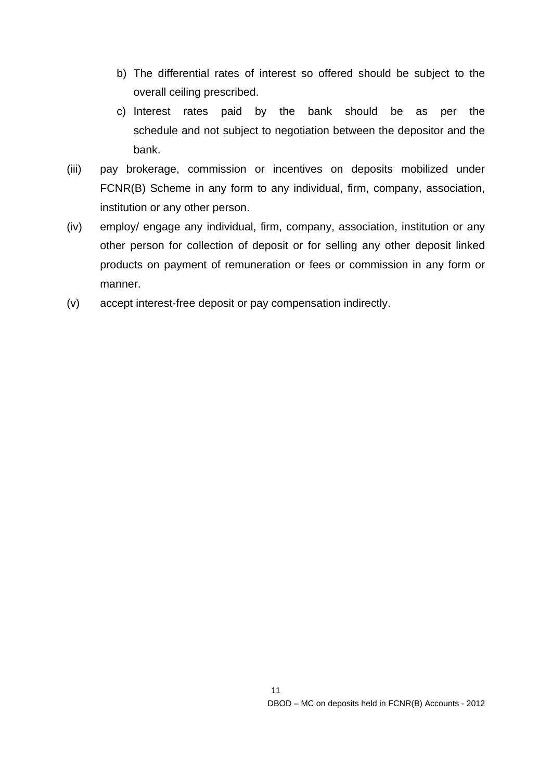- b) The differential rates of interest so offered should be subject to the overall ceiling prescribed.
- c) Interest rates paid by the bank should be as per the schedule and not subject to negotiation between the depositor and the bank.
- (iii) pay brokerage, commission or incentives on deposits mobilized under FCNR(B) Scheme in any form to any individual, firm, company, association, institution or any other person.
- (iv) employ/ engage any individual, firm, company, association, institution or any other person for collection of deposit or for selling any other deposit linked products on payment of remuneration or fees or commission in any form or manner.
- (v) accept interest-free deposit or pay compensation indirectly.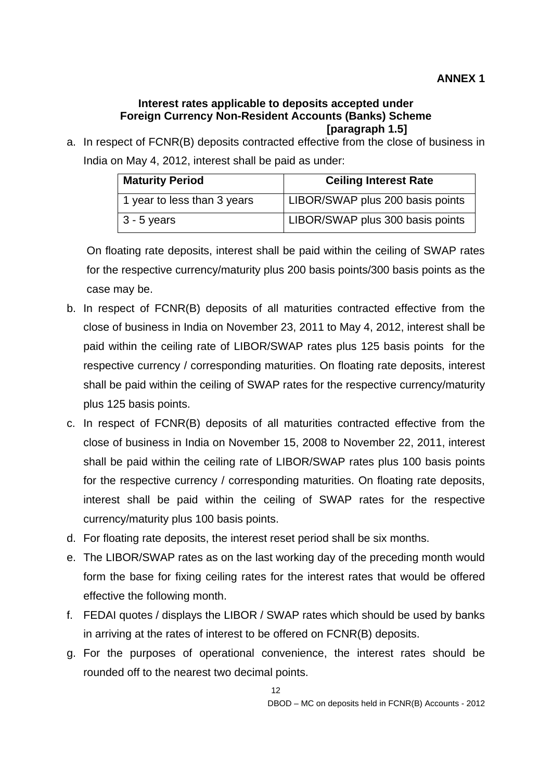#### **Interest rates applicable to deposits accepted under Foreign Currency Non-Resident Accounts (Banks) Scheme [paragraph 1.5]**

a. In respect of FCNR(B) deposits contracted effective from the close of business in India on May 4, 2012, interest shall be paid as under:

| <b>Maturity Period</b>      | <b>Ceiling Interest Rate</b>     |  |  |
|-----------------------------|----------------------------------|--|--|
| 1 year to less than 3 years | LIBOR/SWAP plus 200 basis points |  |  |
| $ 3 - 5$ years              | LIBOR/SWAP plus 300 basis points |  |  |

On floating rate deposits, interest shall be paid within the ceiling of SWAP rates for the respective currency/maturity plus 200 basis points/300 basis points as the case may be.

- b. In respect of FCNR(B) deposits of all maturities contracted effective from the close of business in India on November 23, 2011 to May 4, 2012, interest shall be paid within the ceiling rate of LIBOR/SWAP rates plus 125 basis points for the respective currency / corresponding maturities. On floating rate deposits, interest shall be paid within the ceiling of SWAP rates for the respective currency/maturity plus 125 basis points.
- c. In respect of FCNR(B) deposits of all maturities contracted effective from the close of business in India on November 15, 2008 to November 22, 2011, interest shall be paid within the ceiling rate of LIBOR/SWAP rates plus 100 basis points for the respective currency / corresponding maturities. On floating rate deposits, interest shall be paid within the ceiling of SWAP rates for the respective currency/maturity plus 100 basis points.
- d. For floating rate deposits, the interest reset period shall be six months.
- e. The LIBOR/SWAP rates as on the last working day of the preceding month would form the base for fixing ceiling rates for the interest rates that would be offered effective the following month.
- f. FEDAI quotes / displays the LIBOR / SWAP rates which should be used by banks in arriving at the rates of interest to be offered on FCNR(B) deposits.
- g. For the purposes of operational convenience, the interest rates should be rounded off to the nearest two decimal points.

12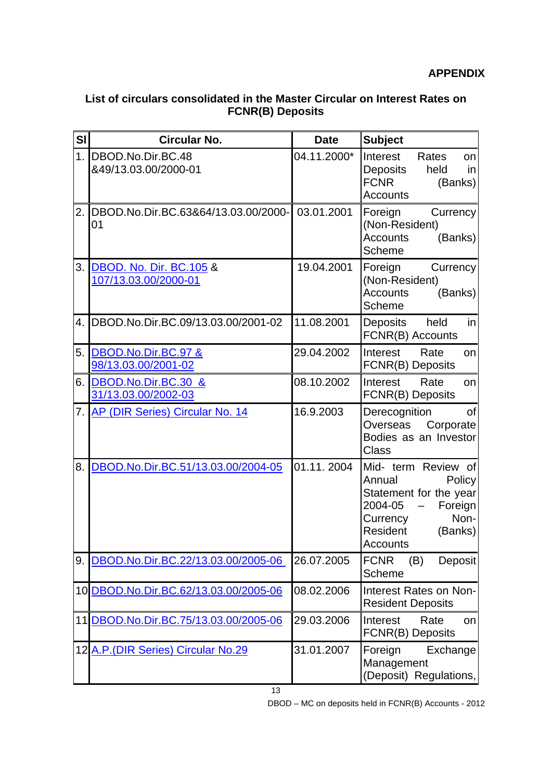# **List of circulars consolidated in the Master Circular on Interest Rates on FCNR(B) Deposits**

| SI             | <b>Circular No.</b>                             | <b>Date</b> | <b>Subject</b>                                                                                                                                 |
|----------------|-------------------------------------------------|-------------|------------------------------------------------------------------------------------------------------------------------------------------------|
| 1 <sub>1</sub> | DBOD.No.Dir.BC.48<br>&49/13.03.00/2000-01       | 04.11.2000* | Interest<br>Rates<br>on<br>Deposits<br>held<br>in<br><b>FCNR</b><br>(Banks)<br><b>Accounts</b>                                                 |
| 2.             | DBOD.No.Dir.BC.63&64/13.03.00/2000-<br>01       | 03.01.2001  | Foreign<br>Currency<br>(Non-Resident)<br><b>Accounts</b><br>(Banks)<br>Scheme                                                                  |
| 3.             | DBOD. No. Dir. BC.105 &<br>107/13.03.00/2000-01 | 19.04.2001  | Foreign<br>Currency<br>(Non-Resident)<br><b>Accounts</b><br>(Banks)<br>Scheme                                                                  |
| 4.             | DBOD.No.Dir.BC.09/13.03.00/2001-02              | 11.08.2001  | held<br>Deposits<br>in<br>FCNR(B) Accounts                                                                                                     |
| 5.             | DBOD.No.Dir.BC.97 &<br>98/13.03.00/2001-02      | 29.04.2002  | Interest<br>Rate<br><b>on</b><br>FCNR(B) Deposits                                                                                              |
| 6.             | DBOD.No.Dir.BC.30 &<br>31/13.03.00/2002-03      | 08.10.2002  | Interest<br>Rate<br>on<br>FCNR(B) Deposits                                                                                                     |
| 7.             | <b>AP (DIR Series) Circular No. 14</b>          | 16.9.2003   | Derecognition<br>οf<br>Overseas<br>Corporate<br>Bodies as an Investor<br><b>Class</b>                                                          |
| 8.             | DBOD.No.Dir.BC.51/13.03.00/2004-05              | 01.11.2004  | Mid- term Review of<br>Annual<br>Policy<br>Statement for the year<br>2004-05<br>Foreign<br>Non-<br>Currency<br>Resident<br>(Banks)<br>Accounts |
| 9.             | DBOD.No.Dir.BC.22/13.03.00/2005-06              | 26.07.2005  | <b>FCNR</b><br>(B)<br>Deposit<br><b>Scheme</b>                                                                                                 |
|                | 10 DBOD.No.Dir.BC.62/13.03.00/2005-06           | 08.02.2006  | Interest Rates on Non-<br><b>Resident Deposits</b>                                                                                             |
| 11             | DBOD.No.Dir.BC.75/13.03.00/2005-06              | 29.03.2006  | Interest<br>Rate<br>on<br>FCNR(B) Deposits                                                                                                     |
|                | 12 A.P. (DIR Series) Circular No.29             | 31.01.2007  | Foreign<br>Exchange<br>Management<br>(Deposit) Regulations,                                                                                    |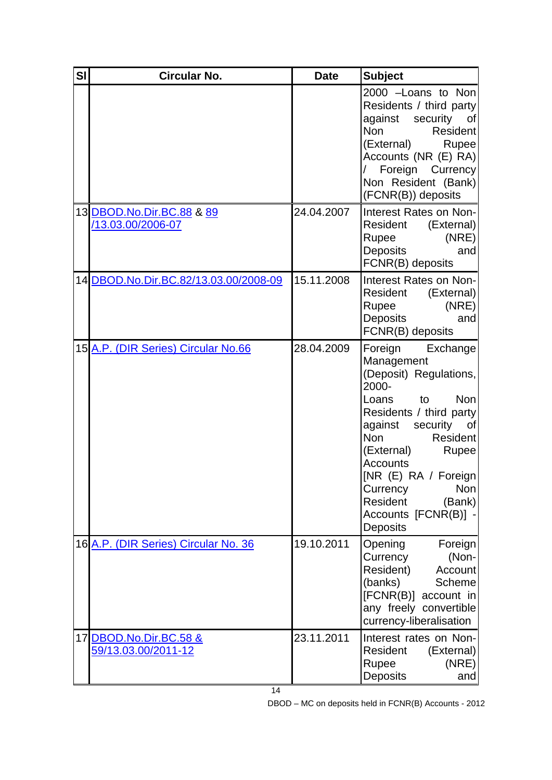| SI | <b>Circular No.</b>                                  | <b>Date</b> | <b>Subject</b>                                                                                                                                                                                                                                                                                                                                 |
|----|------------------------------------------------------|-------------|------------------------------------------------------------------------------------------------------------------------------------------------------------------------------------------------------------------------------------------------------------------------------------------------------------------------------------------------|
|    |                                                      |             | 2000 -Loans to Non<br>Residents / third party<br>against security<br>0f<br><b>Non</b><br>Resident<br>(External)<br><b>Rupee</b><br>Accounts (NR (E) RA)<br>Foreign Currency<br>Non Resident (Bank)<br>(FCNR(B)) deposits                                                                                                                       |
|    | 13 DBOD.No.Dir.BC.88 & 89<br>/13.03.00/2006-07       | 24.04.2007  | Interest Rates on Non-<br>Resident<br>(External)<br>(NRE)<br>Rupee<br>Deposits<br>and<br>FCNR(B) deposits                                                                                                                                                                                                                                      |
|    | 14 DBOD.No.Dir.BC.82/13.03.00/2008-09                | 15.11.2008  | Interest Rates on Non-<br>Resident<br>(External)<br>(NRE)<br>Rupee<br>Deposits<br>and<br>FCNR(B) deposits                                                                                                                                                                                                                                      |
|    | 15 A.P. (DIR Series) Circular No.66                  | 28.04.2009  | Foreign<br>Exchange<br>Management<br>(Deposit) Regulations,<br>2000-<br>Loans<br>to<br><b>Non</b><br>Residents / third party<br>against<br>security<br>0f<br><b>Non</b><br>Resident<br>(External)<br>Rupee<br><b>Accounts</b><br>[NR(E) RA / Foreign]<br><b>Non</b><br>Currency<br>Resident<br>(Bank)<br>Accounts [FCNR(B)]<br><b>Deposits</b> |
|    | 16 A.P. (DIR Series) Circular No. 36                 | 19.10.2011  | Opening<br>Foreign<br>(Non-<br>Currency<br>Resident)<br>Account<br>(banks)<br>Scheme<br>[FCNR(B)] account in<br>any freely convertible<br>currency-liberalisation                                                                                                                                                                              |
|    | 17 DBOD.No.Dir.BC.58 &<br><u>59/13.03.00/2011-12</u> | 23.11.2011  | Interest rates on Non-<br>Resident<br>(External)<br>Rupee<br>(NRE)<br>Deposits<br>and                                                                                                                                                                                                                                                          |

DBOD – MC on deposits held in FCNR(B) Accounts - 2012